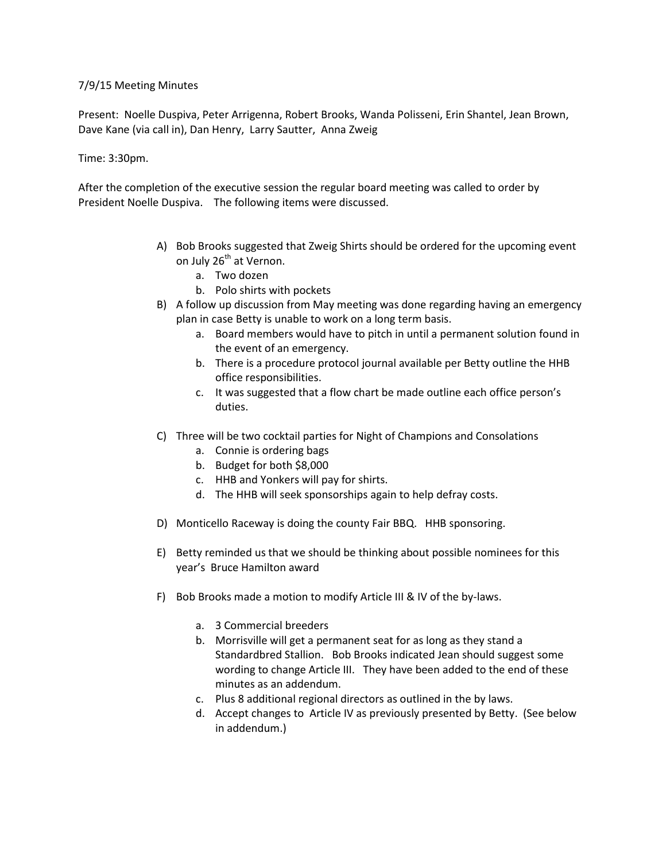# 7/9/15 Meeting Minutes

Present: Noelle Duspiva, Peter Arrigenna, Robert Brooks, Wanda Polisseni, Erin Shantel, Jean Brown, Dave Kane (via call in), Dan Henry, Larry Sautter, Anna Zweig

# Time: 3:30pm.

After the completion of the executive session the regular board meeting was called to order by President Noelle Duspiva. The following items were discussed.

- A) Bob Brooks suggested that Zweig Shirts should be ordered for the upcoming event on July 26<sup>th</sup> at Vernon.
	- a. Two dozen
	- b. Polo shirts with pockets
- B) A follow up discussion from May meeting was done regarding having an emergency plan in case Betty is unable to work on a long term basis.
	- a. Board members would have to pitch in until a permanent solution found in the event of an emergency.
	- b. There is a procedure protocol journal available per Betty outline the HHB office responsibilities.
	- c. It was suggested that a flow chart be made outline each office person's duties.
- C) Three will be two cocktail parties for Night of Champions and Consolations
	- a. Connie is ordering bags
	- b. Budget for both \$8,000
	- c. HHB and Yonkers will pay for shirts.
	- d. The HHB will seek sponsorships again to help defray costs.
- D) Monticello Raceway is doing the county Fair BBQ. HHB sponsoring.
- E) Betty reminded us that we should be thinking about possible nominees for this year's Bruce Hamilton award
- F) Bob Brooks made a motion to modify Article III & IV of the by-laws.
	- a. 3 Commercial breeders
	- b. Morrisville will get a permanent seat for as long as they stand a Standardbred Stallion. Bob Brooks indicated Jean should suggest some wording to change Article III. They have been added to the end of these minutes as an addendum.
	- c. Plus 8 additional regional directors as outlined in the by laws.
	- d. Accept changes to Article IV as previously presented by Betty. (See below in addendum.)